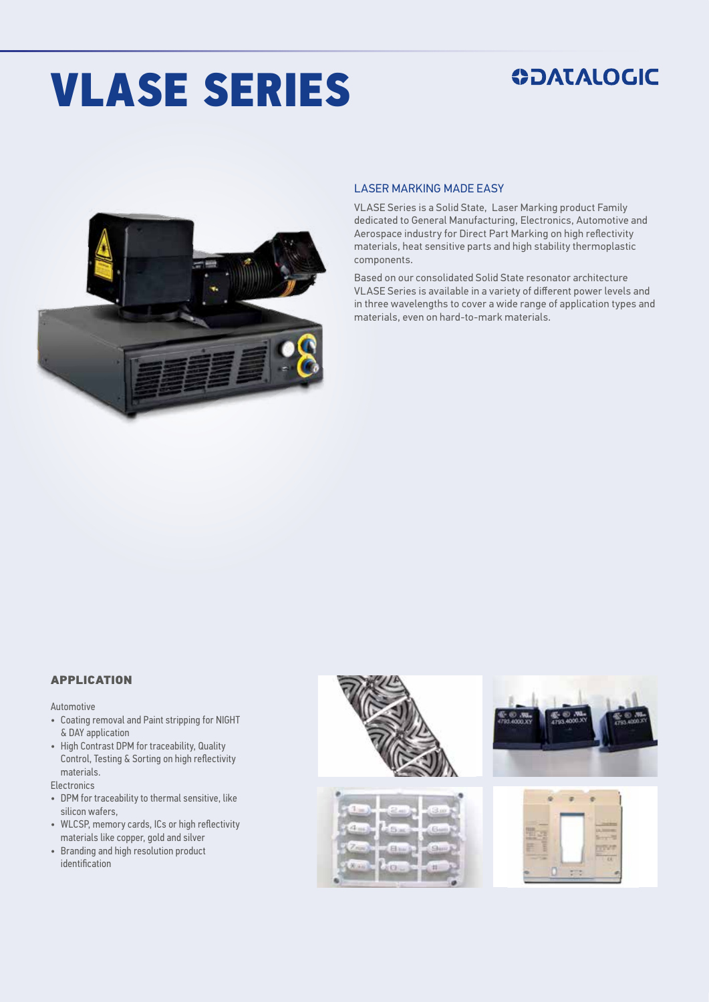# VLASE SERIES

## **ODATALOGIC**



#### LASER MARKING MADE EASY

VLASE Series is a Solid State, Laser Marking product Family dedicated to General Manufacturing, Electronics, Automotive and Aerospace industry for Direct Part Marking on high reflectivity materials, heat sensitive parts and high stability thermoplastic components.

Based on our consolidated Solid State resonator architecture VLASE Series is available in a variety of different power levels and in three wavelengths to cover a wide range of application types and materials, even on hard-to-mark materials.

#### APPLICATION

Automotive

- Coating removal and Paint stripping for NIGHT & DAY application
- High Contrast DPM for traceability, Quality Control, Testing & Sorting on high reflectivity materials.

**Electronics** 

- DPM for traceability to thermal sensitive, like silicon wafers,
- WLCSP, memory cards, ICs or high reflectivity materials like copper, gold and silver
- Branding and high resolution product identification

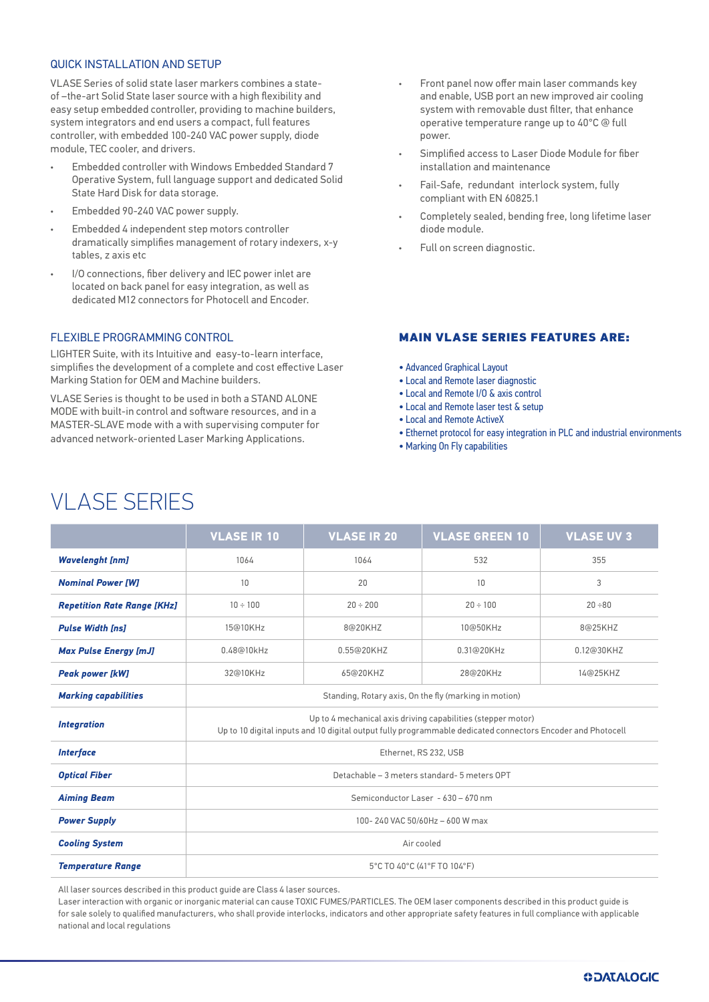#### QUICK INSTALL ATION AND SETUP

VLASE Series of solid state laser markers combines a stateof –the-art Solid State laser source with a high flexibility and easy setup embedded controller, providing to machine builders, system integrators and end users a compact, full features controller, with embedded 100-240 VAC power supply, diode module, TEC cooler, and drivers.

- Embedded controller with Windows Embedded Standard 7 Operative System, full language support and dedicated Solid State Hard Disk for data storage.
- Embedded 90-240 VAC power supply.
- Embedded 4 independent step motors controller dramatically simplifies management of rotary indexers, x-y tables, z axis etc
- I/O connections, fiber delivery and IEC power inlet are located on back panel for easy integration, as well as dedicated M12 connectors for Photocell and Encoder.

#### FLEXIBLE PROGRAMMING CONTROL

LIGHTER Suite, with its Intuitive and easy-to-learn interface, simplifies the development of a complete and cost effective Laser Marking Station for OEM and Machine builders.

VLASE Series is thought to be used in both a STAND ALONE MODE with built-in control and software resources, and in a MASTER-SLAVE mode with a with supervising computer for advanced network-oriented Laser Marking Applications.

- Front panel now offer main laser commands key and enable, USB port an new improved air cooling system with removable dust filter, that enhance operative temperature range up to 40°C @ full power.
- Simplified access to Laser Diode Module for fiber installation and maintenance
- Fail-Safe, redundant interlock system, fully compliant with EN 60825.1
- Completely sealed, bending free, long lifetime laser diode module.
- Full on screen diagnostic.

#### MAIN VLASE SERIES FEATURES ARE:

- Advanced Graphical Layout
- Local and Remote laser diagnostic
- Local and Remote I/O & axis control
- Local and Remote laser test & setup
- Local and Remote ActiveX
- Ethernet protocol for easy integration in PLC and industrial environments
- Marking On Fly capabilities

### VLASE SERIES

|                                    | <b>VLASE IR 10</b>                                                                                                                                                          | <b>VLASE IR 20</b> | <b>VLASE GREEN 10</b> | <b>VLASE UV 3</b> |  |
|------------------------------------|-----------------------------------------------------------------------------------------------------------------------------------------------------------------------------|--------------------|-----------------------|-------------------|--|
| <b>Wavelenght [nm]</b>             | 1064                                                                                                                                                                        | 1064               | 532                   | 355               |  |
| <b>Nominal Power [W]</b>           | 10                                                                                                                                                                          | 20                 | 10                    | 3                 |  |
| <b>Repetition Rate Range [KHz]</b> | $10 \div 100$                                                                                                                                                               | $20 \div 200$      | $20 \div 100$         | $20 \div 80$      |  |
| <b>Pulse Width Inst</b>            | 15@10KHz                                                                                                                                                                    | 8@20KHZ            | 10@50KHz              | 8@25KHZ           |  |
| <b>Max Pulse Energy [mJ]</b>       | 0.48@10kHz                                                                                                                                                                  | 0.55@20KHZ         | 0.31@20KHz            | 0.12@30KHZ        |  |
| <b>Peak power [kW]</b>             | 32@10KHz                                                                                                                                                                    | 65@20KHZ           | 28@20KHz              | 14@25KHZ          |  |
| <b>Marking capabilities</b>        | Standing, Rotary axis, On the fly (marking in motion)                                                                                                                       |                    |                       |                   |  |
| <b>Integration</b>                 | Up to 4 mechanical axis driving capabilities (stepper motor)<br>Up to 10 digital inputs and 10 digital output fully programmable dedicated connectors Encoder and Photocell |                    |                       |                   |  |
| <b>Interface</b>                   | Ethernet, RS 232, USB                                                                                                                                                       |                    |                       |                   |  |
| <b>Optical Fiber</b>               | Detachable - 3 meters standard- 5 meters OPT                                                                                                                                |                    |                       |                   |  |
| <b>Aiming Beam</b>                 | Semiconductor Laser - 630 - 670 nm                                                                                                                                          |                    |                       |                   |  |
| <b>Power Supply</b>                | 100-240 VAC 50/60Hz - 600 W max                                                                                                                                             |                    |                       |                   |  |
| <b>Cooling System</b>              | Air cooled                                                                                                                                                                  |                    |                       |                   |  |
| <b>Temperature Range</b>           | 5°C TO 40°C (41°F TO 104°F)                                                                                                                                                 |                    |                       |                   |  |

All laser sources described in this product guide are Class 4 laser sources.

Laser interaction with organic or inorganic material can cause TOXIC FUMES/PARTICLES. The OEM laser components described in this product guide is for sale solely to qualified manufacturers, who shall provide interlocks, indicators and other appropriate safety features in full compliance with applicable national and local regulations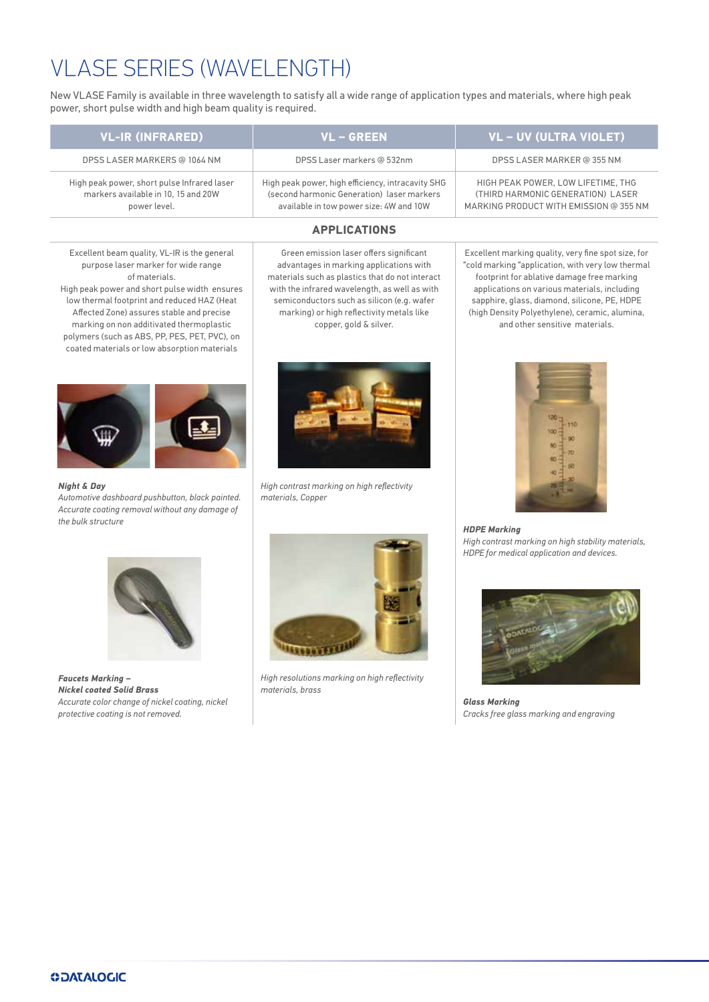# VLASE SERIES (WAVELENGTH)

New VLASE Family is available in three wavelength to satisfy all a wide range of application types and materials, where high peak power, short pulse width and high beam quality is required.

| VL-IR (INFRARED)                                                                                   | VL – GREEN                                                                                                                                 | <b>VL-UV (ULTRA VIOLET)</b>                                                                                       |
|----------------------------------------------------------------------------------------------------|--------------------------------------------------------------------------------------------------------------------------------------------|-------------------------------------------------------------------------------------------------------------------|
| DPSS LASER MARKERS @ 1064 NM                                                                       | DPSS Laser markers @ 532nm                                                                                                                 | DPSS LASER MARKER @ 355 NM                                                                                        |
| High peak power, short pulse Infrared laser<br>markers available in 10, 15 and 20W<br>power level. | High peak power, high efficiency, intracavity SHG<br>(second harmonic Generation) laser markers<br>available in tow power size: 4W and 10W | HIGH PEAK POWER, LOW LIFETIME, THG<br>(THIRD HARMONIC GENERATION) LASER<br>MARKING PRODUCT WITH EMISSION @ 355 NM |

#### **APPLICATIONS**

Green emission laser offers significant advantages in marking applications with materials such as plastics that do not interact with the infrared wavelength, as well as with semiconductors such as silicon (e.g. wafer marking) or high reflectivity metals like copper, gold & silver.

Excellent beam quality, VL-IR is the general purpose laser marker for wide range of materials.

High peak power and short pulse width ensures low thermal footprint and reduced HAZ (Heat Affected Zone) assures stable and precise marking on non additivated thermoplastic polymers (such as ABS, PP, PES, PET, PVC), on coated materials or low absorption materials



*Night & Day Automotive dashboard pushbutton, black painted. Accurate coating removal without any damage of the bulk structure*



*High contrast marking on high reflectivity materials, Copper*



*Faucets Marking – Nickel coated Solid Brass Accurate color change of nickel coating, nickel protective coating is not removed.*



*High resolutions marking on high reflectivity materials, brass*

Excellent marking quality, very fine spot size, for "cold marking "application, with very low thermal footprint for ablative damage free marking applications on various materials, including sapphire, glass, diamond, silicone, PE, HDPE (high Density Polyethylene), ceramic, alumina, and other sensitive materials.



*HDPE Marking High contrast marking on high stability materials, HDPE for medical application and devices.*



*Glass Marking Cracks free glass marking and engraving*